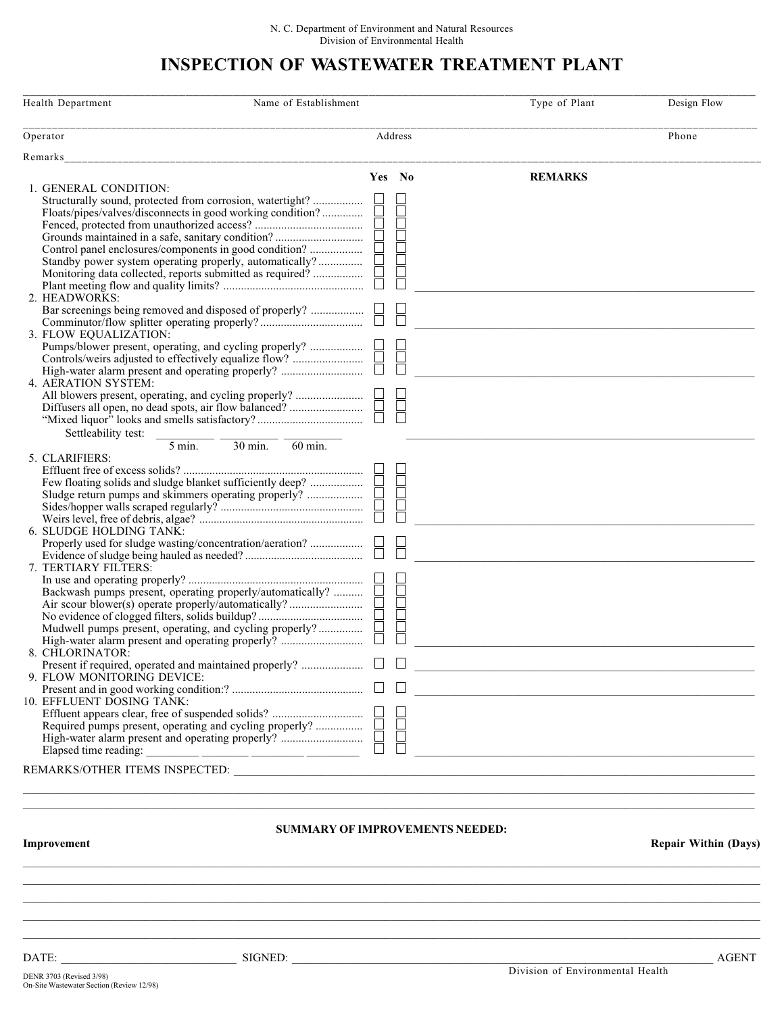## INSPECTION OF WASTEWATER TREATMENT PLANT

| Health Department                                                                                                                                                                                                                                                                                                                                                                                                                      | Name of Establishment                    |        |                                                  | Type of Plant  | Design Flow                 |
|----------------------------------------------------------------------------------------------------------------------------------------------------------------------------------------------------------------------------------------------------------------------------------------------------------------------------------------------------------------------------------------------------------------------------------------|------------------------------------------|--------|--------------------------------------------------|----------------|-----------------------------|
| Operator                                                                                                                                                                                                                                                                                                                                                                                                                               |                                          |        | Address                                          |                | Phone                       |
| Remarks                                                                                                                                                                                                                                                                                                                                                                                                                                |                                          |        |                                                  |                |                             |
| 1. GENERAL CONDITION:<br>Structurally sound, protected from corrosion, watertight?<br>Floats/pipes/valves/disconnects in good working condition?<br>Control panel enclosures/components in good condition?<br>Standby power system operating properly, automatically?<br>Monitoring data collected, reports submitted as required?<br>2. HEADWORKS:<br>3. FLOW EQUALIZATION:<br>Pumps/blower present, operating, and cycling properly? |                                          | Yes No | <b>BELETER</b><br>$\frac{\Box}{\Box}$            | <b>REMARKS</b> |                             |
| 4. AERATION SYSTEM:<br>Settleability test:                                                                                                                                                                                                                                                                                                                                                                                             |                                          |        | Ē                                                |                |                             |
| $5 \text{ min}$ .<br>5. CLARIFIERS:<br>6. SLUDGE HOLDING TANK:<br>7. TERTIARY FILTERS:<br>Mudwell pumps present, operating, and cycling properly?<br>8. CHLORINATOR:<br>Present if required, operated and maintained properly?<br>9. FLOW MONITORING DEVICE:<br>10. EFFLUENT DOSING TANK:<br>Elapsed time reading:                                                                                                                     | $30 \text{ min}$ .<br>$60 \text{ min}$ . |        | Ō<br>j<br>$\Box$<br>₿<br>$\overline{\mathbb{B}}$ |                |                             |
| Improvement                                                                                                                                                                                                                                                                                                                                                                                                                            | <b>SUMMARY OF IMPROVEMENTS NEEDED:</b>   |        |                                                  |                | <b>Repair Within (Days)</b> |
|                                                                                                                                                                                                                                                                                                                                                                                                                                        |                                          |        |                                                  |                |                             |

DATE: \_\_\_\_\_\_\_\_\_\_\_\_\_\_\_\_\_\_\_\_\_\_\_\_\_\_\_\_\_\_ SIGNED: \_\_\_\_\_\_\_\_\_\_\_\_\_\_\_\_\_\_\_\_\_\_\_\_\_\_\_\_\_\_\_\_\_\_\_\_\_\_\_\_\_\_\_\_\_\_\_\_\_\_\_\_\_\_\_\_\_\_\_\_\_\_\_\_\_\_\_\_\_\_\_\_ AGENT

Division of Environmental Health DENR 3703 (Revised 3/98) On-Site Wastewater Section (Review 12/98)

 $\mathcal{L}_\mathcal{L} = \{ \mathcal{L}_\mathcal{L} = \{ \mathcal{L}_\mathcal{L} = \{ \mathcal{L}_\mathcal{L} = \{ \mathcal{L}_\mathcal{L} = \{ \mathcal{L}_\mathcal{L} = \{ \mathcal{L}_\mathcal{L} = \{ \mathcal{L}_\mathcal{L} = \{ \mathcal{L}_\mathcal{L} = \{ \mathcal{L}_\mathcal{L} = \{ \mathcal{L}_\mathcal{L} = \{ \mathcal{L}_\mathcal{L} = \{ \mathcal{L}_\mathcal{L} = \{ \mathcal{L}_\mathcal{L} = \{ \mathcal{L}_\mathcal{$